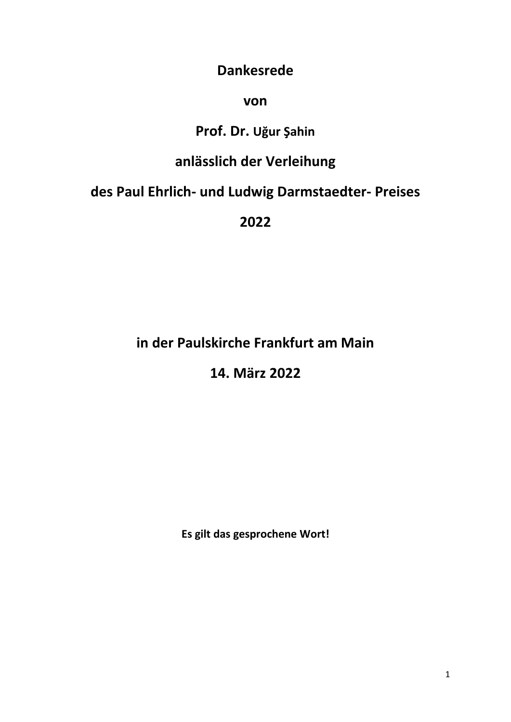#### **Dankesrede**

#### **von**

# **Prof. Dr. Uğur Şahin**

# **anlässlich der Verleihung**

# **des Paul Ehrlich- und Ludwig Darmstaedter- Preises**

**2022**

### **in der Paulskirche Frankfurt am Main**

### **14. März 2022**

**Es gilt das gesprochene Wort!**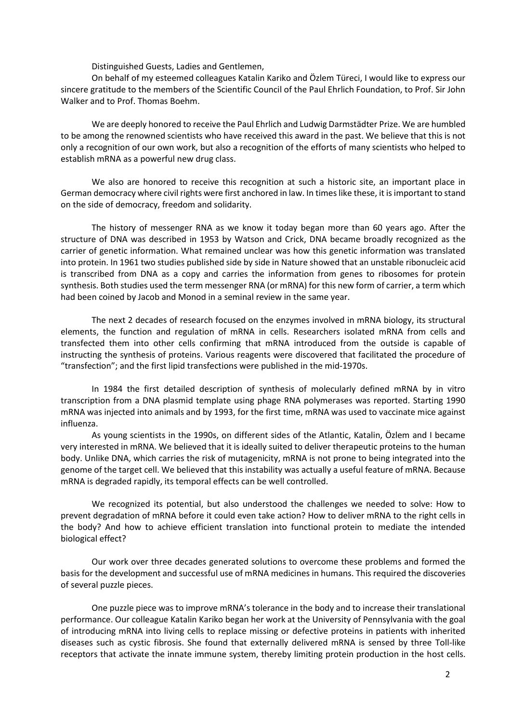Distinguished Guests, Ladies and Gentlemen,

On behalf of my esteemed colleagues Katalin Kariko and Özlem Türeci, I would like to express our sincere gratitude to the members of the Scientific Council of the Paul Ehrlich Foundation, to Prof. Sir John Walker and to Prof. Thomas Boehm.

We are deeply honored to receive the Paul Ehrlich and Ludwig Darmstädter Prize. We are humbled to be among the renowned scientists who have received this award in the past. We believe that this is not only a recognition of our own work, but also a recognition of the efforts of many scientists who helped to establish mRNA as a powerful new drug class.

We also are honored to receive this recognition at such a historic site, an important place in German democracy where civil rights were first anchored in law. In times like these, it is important to stand on the side of democracy, freedom and solidarity.

The history of messenger RNA as we know it today began more than 60 years ago. After the structure of DNA was described in 1953 by Watson and Crick, DNA became broadly recognized as the carrier of genetic information. What remained unclear was how this genetic information was translated into protein. In 1961 two studies published side by side in Nature showed that an unstable ribonucleic acid is transcribed from DNA as a copy and carries the information from genes to ribosomes for protein synthesis. Both studies used the term messenger RNA (or mRNA) for this new form of carrier, a term which had been coined by Jacob and Monod in a seminal review in the same year.

The next 2 decades of research focused on the enzymes involved in mRNA biology, its structural elements, the function and regulation of mRNA in cells. Researchers isolated mRNA from cells and transfected them into other cells confirming that mRNA introduced from the outside is capable of instructing the synthesis of proteins. Various reagents were discovered that facilitated the procedure of "transfection"; and the first lipid transfections were published in the mid-1970s.

In 1984 the first detailed description of synthesis of molecularly defined mRNA by in vitro transcription from a DNA plasmid template using phage RNA polymerases was reported. Starting 1990 mRNA was injected into animals and by 1993, for the first time, mRNA was used to vaccinate mice against influenza.

As young scientists in the 1990s, on different sides of the Atlantic, Katalin, Özlem and I became very interested in mRNA. We believed that it is ideally suited to deliver therapeutic proteins to the human body. Unlike DNA, which carries the risk of mutagenicity, mRNA is not prone to being integrated into the genome of the target cell. We believed that this instability was actually a useful feature of mRNA. Because mRNA is degraded rapidly, its temporal effects can be well controlled.

We recognized its potential, but also understood the challenges we needed to solve: How to prevent degradation of mRNA before it could even take action? How to deliver mRNA to the right cells in the body? And how to achieve efficient translation into functional protein to mediate the intended biological effect?

Our work over three decades generated solutions to overcome these problems and formed the basis for the development and successful use of mRNA medicines in humans. This required the discoveries of several puzzle pieces.

One puzzle piece was to improve mRNA's tolerance in the body and to increase their translational performance. Our colleague Katalin Kariko began her work at the University of Pennsylvania with the goal of introducing mRNA into living cells to replace missing or defective proteins in patients with inherited diseases such as cystic fibrosis. She found that externally delivered mRNA is sensed by three Toll-like receptors that activate the innate immune system, thereby limiting protein production in the host cells.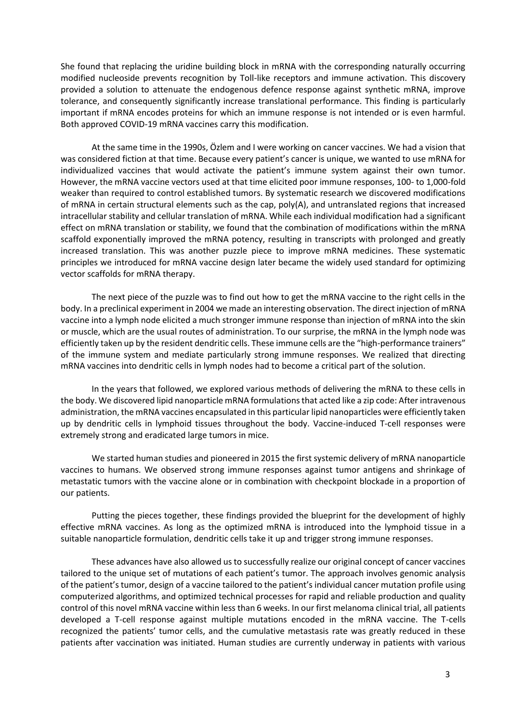She found that replacing the uridine building block in mRNA with the corresponding naturally occurring modified nucleoside prevents recognition by Toll-like receptors and immune activation. This discovery provided a solution to attenuate the endogenous defence response against synthetic mRNA, improve tolerance, and consequently significantly increase translational performance. This finding is particularly important if mRNA encodes proteins for which an immune response is not intended or is even harmful. Both approved COVID-19 mRNA vaccines carry this modification.

At the same time in the 1990s, Özlem and I were working on cancer vaccines. We had a vision that was considered fiction at that time. Because every patient's cancer is unique, we wanted to use mRNA for individualized vaccines that would activate the patient's immune system against their own tumor. However, the mRNA vaccine vectors used at that time elicited poor immune responses, 100- to 1,000-fold weaker than required to control established tumors. By systematic research we discovered modifications of mRNA in certain structural elements such as the cap, poly(A), and untranslated regions that increased intracellular stability and cellular translation of mRNA. While each individual modification had a significant effect on mRNA translation or stability, we found that the combination of modifications within the mRNA scaffold exponentially improved the mRNA potency, resulting in transcripts with prolonged and greatly increased translation. This was another puzzle piece to improve mRNA medicines. These systematic principles we introduced for mRNA vaccine design later became the widely used standard for optimizing vector scaffolds for mRNA therapy.

The next piece of the puzzle was to find out how to get the mRNA vaccine to the right cells in the body. In a preclinical experiment in 2004 we made an interesting observation. The direct injection of mRNA vaccine into a lymph node elicited a much stronger immune response than injection of mRNA into the skin or muscle, which are the usual routes of administration. To our surprise, the mRNA in the lymph node was efficiently taken up by the resident dendritic cells. These immune cells are the "high-performance trainers" of the immune system and mediate particularly strong immune responses. We realized that directing mRNA vaccines into dendritic cells in lymph nodes had to become a critical part of the solution.

In the years that followed, we explored various methods of delivering the mRNA to these cells in the body. We discovered lipid nanoparticle mRNA formulations that acted like a zip code: After intravenous administration, the mRNA vaccines encapsulated in this particular lipid nanoparticles were efficiently taken up by dendritic cells in lymphoid tissues throughout the body. Vaccine-induced T-cell responses were extremely strong and eradicated large tumors in mice.

We started human studies and pioneered in 2015 the first systemic delivery of mRNA nanoparticle vaccines to humans. We observed strong immune responses against tumor antigens and shrinkage of metastatic tumors with the vaccine alone or in combination with checkpoint blockade in a proportion of our patients.

Putting the pieces together, these findings provided the blueprint for the development of highly effective mRNA vaccines. As long as the optimized mRNA is introduced into the lymphoid tissue in a suitable nanoparticle formulation, dendritic cells take it up and trigger strong immune responses.

These advances have also allowed us to successfully realize our original concept of cancer vaccines tailored to the unique set of mutations of each patient's tumor. The approach involves genomic analysis of the patient's tumor, design of a vaccine tailored to the patient's individual cancer mutation profile using computerized algorithms, and optimized technical processes for rapid and reliable production and quality control of this novel mRNA vaccine within less than 6 weeks. In our first melanoma clinical trial, all patients developed a T-cell response against multiple mutations encoded in the mRNA vaccine. The T-cells recognized the patients' tumor cells, and the cumulative metastasis rate was greatly reduced in these patients after vaccination was initiated. Human studies are currently underway in patients with various